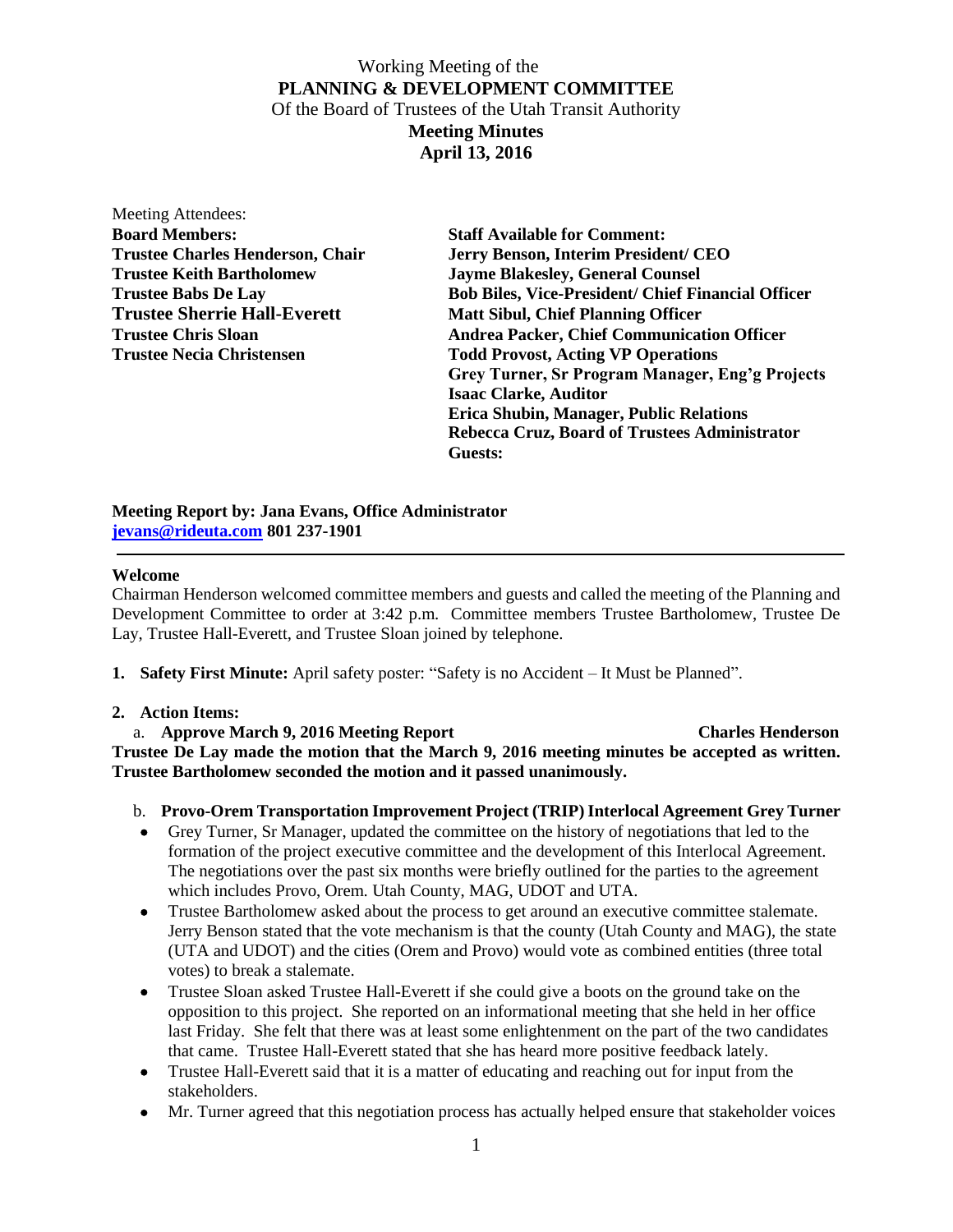# Working Meeting of the **PLANNING & DEVELOPMENT COMMITTEE** Of the Board of Trustees of the Utah Transit Authority **Meeting Minutes April 13, 2016**

| Meeting Attendees:                      |
|-----------------------------------------|
| <b>Board Members:</b>                   |
| <b>Trustee Charles Henderson, Chair</b> |
| Trustee Keith Bartholomew               |
| <b>Trustee Babs De Lay</b>              |
| <b>Trustee Sherrie Hall-Everett</b>     |
| <b>Trustee Chris Sloan</b>              |
| <b>Trustee Necia Christensen</b>        |
|                                         |

**Staff Available for Comment: Jerry Benson, Interim President/ CEO Jayme Blakesley, General Counsel Bob Biles, Vice-President/ Chief Financial Officer Matt Sibul, Chief Planning Officer Andrea Packer, Chief Communication Officer Todd Provost, Acting VP Operations Grey Turner, Sr Program Manager, Eng'g Projects Isaac Clarke, Auditor Erica Shubin, Manager, Public Relations Rebecca Cruz, Board of Trustees Administrator Guests:**

## **Meeting Report by: Jana Evans, Office Administrator [jevans@rideuta.com](mailto:jevans@rideuta.com) 801 237-1901**

### **Welcome**

Chairman Henderson welcomed committee members and guests and called the meeting of the Planning and Development Committee to order at 3:42 p.m. Committee members Trustee Bartholomew, Trustee De Lay, Trustee Hall-Everett, and Trustee Sloan joined by telephone.

**1. Safety First Minute:** April safety poster: "Safety is no Accident – It Must be Planned".

#### **2. Action Items:**

a. **Approve March 9, 2016 Meeting Report Charles Henderson Trustee De Lay made the motion that the March 9, 2016 meeting minutes be accepted as written. Trustee Bartholomew seconded the motion and it passed unanimously.**

## b. **Provo-Orem Transportation Improvement Project (TRIP) Interlocal Agreement Grey Turner**

- Grey Turner, Sr Manager, updated the committee on the history of negotiations that led to the formation of the project executive committee and the development of this Interlocal Agreement. The negotiations over the past six months were briefly outlined for the parties to the agreement which includes Provo, Orem. Utah County, MAG, UDOT and UTA.
- Trustee Bartholomew asked about the process to get around an executive committee stalemate. Jerry Benson stated that the vote mechanism is that the county (Utah County and MAG), the state (UTA and UDOT) and the cities (Orem and Provo) would vote as combined entities (three total votes) to break a stalemate.
- Trustee Sloan asked Trustee Hall-Everett if she could give a boots on the ground take on the opposition to this project. She reported on an informational meeting that she held in her office last Friday. She felt that there was at least some enlightenment on the part of the two candidates that came. Trustee Hall-Everett stated that she has heard more positive feedback lately.
- Trustee Hall-Everett said that it is a matter of educating and reaching out for input from the stakeholders.
- Mr. Turner agreed that this negotiation process has actually helped ensure that stakeholder voices